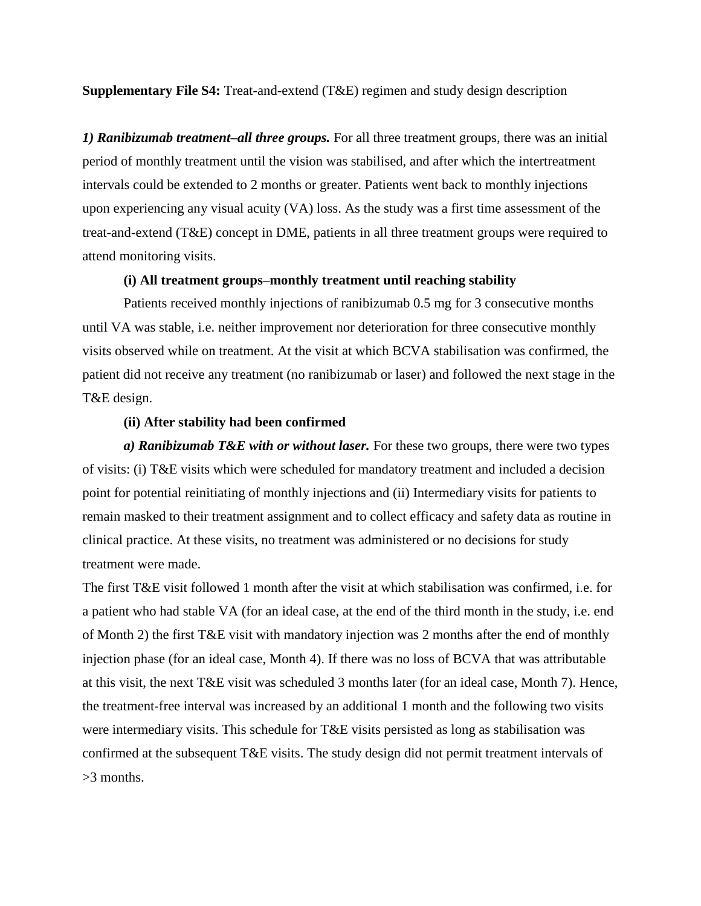**Supplementary File S4:** Treat-and-extend (T&E) regimen and study design description

*1) Ranibizumab treatment–all three groups.* For all three treatment groups, there was an initial period of monthly treatment until the vision was stabilised, and after which the intertreatment intervals could be extended to 2 months or greater. Patients went back to monthly injections upon experiencing any visual acuity (VA) loss. As the study was a first time assessment of the treat-and-extend (T&E) concept in DME, patients in all three treatment groups were required to attend monitoring visits.

## **(i) All treatment groups–monthly treatment until reaching stability**

Patients received monthly injections of ranibizumab 0.5 mg for 3 consecutive months until VA was stable, i.e. neither improvement nor deterioration for three consecutive monthly visits observed while on treatment. At the visit at which BCVA stabilisation was confirmed, the patient did not receive any treatment (no ranibizumab or laser) and followed the next stage in the T&E design.

## **(ii) After stability had been confirmed**

*a) Ranibizumab T&E with or without laser.* For these two groups, there were two types of visits: (i) T&E visits which were scheduled for mandatory treatment and included a decision point for potential reinitiating of monthly injections and (ii) Intermediary visits for patients to remain masked to their treatment assignment and to collect efficacy and safety data as routine in clinical practice. At these visits, no treatment was administered or no decisions for study treatment were made.

The first T&E visit followed 1 month after the visit at which stabilisation was confirmed, i.e. for a patient who had stable VA (for an ideal case, at the end of the third month in the study, i.e. end of Month 2) the first T&E visit with mandatory injection was 2 months after the end of monthly injection phase (for an ideal case, Month 4). If there was no loss of BCVA that was attributable at this visit, the next T&E visit was scheduled 3 months later (for an ideal case, Month 7). Hence, the treatment-free interval was increased by an additional 1 month and the following two visits were intermediary visits. This schedule for T&E visits persisted as long as stabilisation was confirmed at the subsequent T&E visits. The study design did not permit treatment intervals of >3 months.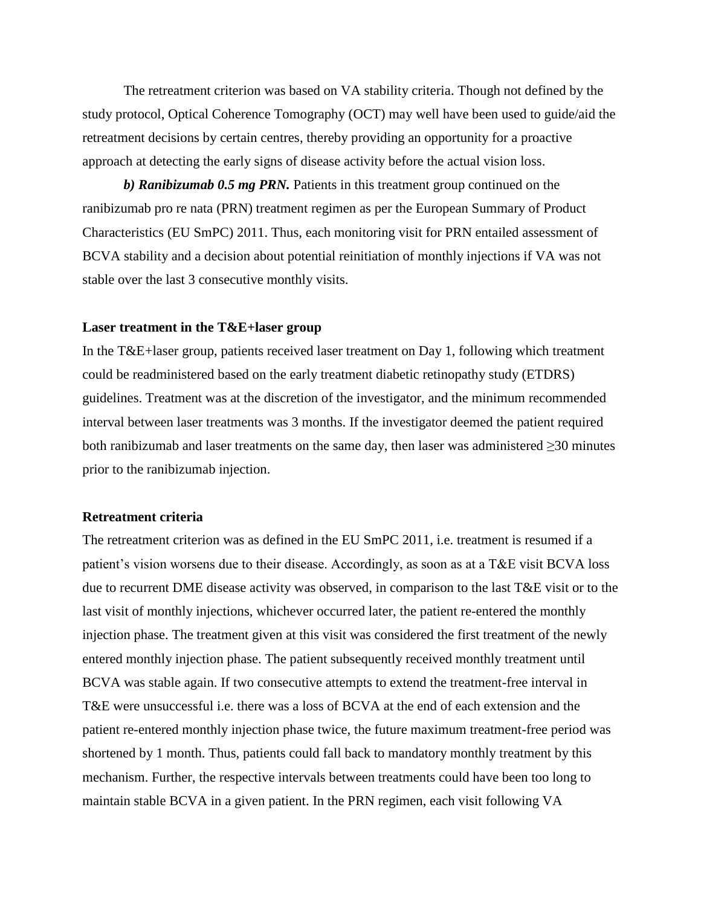The retreatment criterion was based on VA stability criteria. Though not defined by the study protocol, Optical Coherence Tomography (OCT) may well have been used to guide/aid the retreatment decisions by certain centres, thereby providing an opportunity for a proactive approach at detecting the early signs of disease activity before the actual vision loss.

*b) Ranibizumab 0.5 mg PRN.* Patients in this treatment group continued on the ranibizumab pro re nata (PRN) treatment regimen as per the European Summary of Product Characteristics (EU SmPC) 2011. Thus, each monitoring visit for PRN entailed assessment of BCVA stability and a decision about potential reinitiation of monthly injections if VA was not stable over the last 3 consecutive monthly visits.

## **Laser treatment in the T&E+laser group**

In the T&E+laser group, patients received laser treatment on Day 1, following which treatment could be readministered based on the early treatment diabetic retinopathy study (ETDRS) guidelines. Treatment was at the discretion of the investigator, and the minimum recommended interval between laser treatments was 3 months. If the investigator deemed the patient required both ranibizumab and laser treatments on the same day, then laser was administered ≥30 minutes prior to the ranibizumab injection.

## **Retreatment criteria**

The retreatment criterion was as defined in the EU SmPC 2011, i.e. treatment is resumed if a patient's vision worsens due to their disease. Accordingly, as soon as at a T&E visit BCVA loss due to recurrent DME disease activity was observed, in comparison to the last T&E visit or to the last visit of monthly injections, whichever occurred later, the patient re-entered the monthly injection phase. The treatment given at this visit was considered the first treatment of the newly entered monthly injection phase. The patient subsequently received monthly treatment until BCVA was stable again. If two consecutive attempts to extend the treatment-free interval in T&E were unsuccessful i.e. there was a loss of BCVA at the end of each extension and the patient re-entered monthly injection phase twice, the future maximum treatment-free period was shortened by 1 month. Thus, patients could fall back to mandatory monthly treatment by this mechanism. Further, the respective intervals between treatments could have been too long to maintain stable BCVA in a given patient. In the PRN regimen, each visit following VA